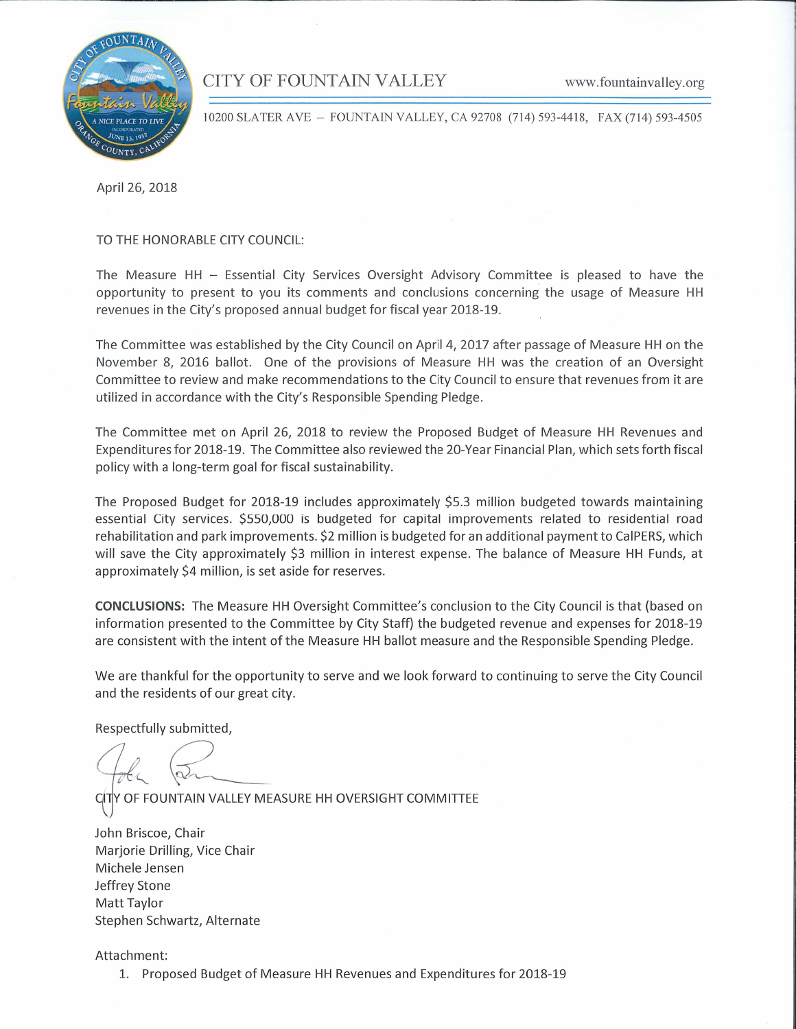## CITY OF FOUNTAIN VALLEY



10200 SLATER AVE - FOUNTAIN VALLEY, CA 92708 (714) 593-4418. FAX (714) 593-4505

April 26, 2018

TO THE HONORABLE CITY COUNCIL:

The Measure HH  $-$  Essential City Services Oversight Advisory Committee is pleased to have the opportunity to present to you its comments and conclusions concerning the usage of Measure HH revenues in the City's proposed annual budget for fiscal year 2018-19.

The Committee was established by the City Council on April 4, 2017 after passage of Measure HH on the November 8, 2016 ballot. One of the provisions of Measure HH was the creation of an Oversight Committee to review and make recommendations to the City Council to ensure that revenues from it are utilized in accordance with the City's Responsible Spending Pledge.

The Committee met on April 26, 2018 to review the Proposed Budget of Measure HH Revenues and Expenditures for 2018-19. The Committee also reviewed the 20-Year Financial Plan, which sets forth fiscal policy with a long-term goal for fiscal sustainability.

The Proposed Budget for 2018-19 includes approximately \$5.3 million budgeted towards maintaining essential City services. \$550,000 is budgeted for capital improvements related to residential road rehabilitation and park improvements. \$2 million is budgeted for an additional payment to CalPERS, which will save the City approximately \$3 million in interest expense. The balance of Measure HH Funds, at approximately \$4 million, is set aside for reserves.

**CONCLUSIONS:** The Measure HH Oversight Committee's conclusion to the City Council is that (based on information presented to the Committee by City Staff) the budgeted revenue and expenses for 2018-19 are consistent with the intent of the Measure HH ballot measure and the Responsible Spending Pledge.

We are thankful for the opportunity to serve and we look forward to continuing to serve the City Council and the residents of our great city.

Respectfully submitted,

CITY OF FOUNTAIN VALLEY MEASURE HH OVERSIGHT COMMITTEE

John Briscoe, Chair Marjorie Drilling, Vice Chair Michele Jensen Jeffrey Stone Matt Taylor Stephen Schwartz, Alternate

Attachment:

1. Proposed Budget of Measure HH Revenues and Expenditures for 2018-19